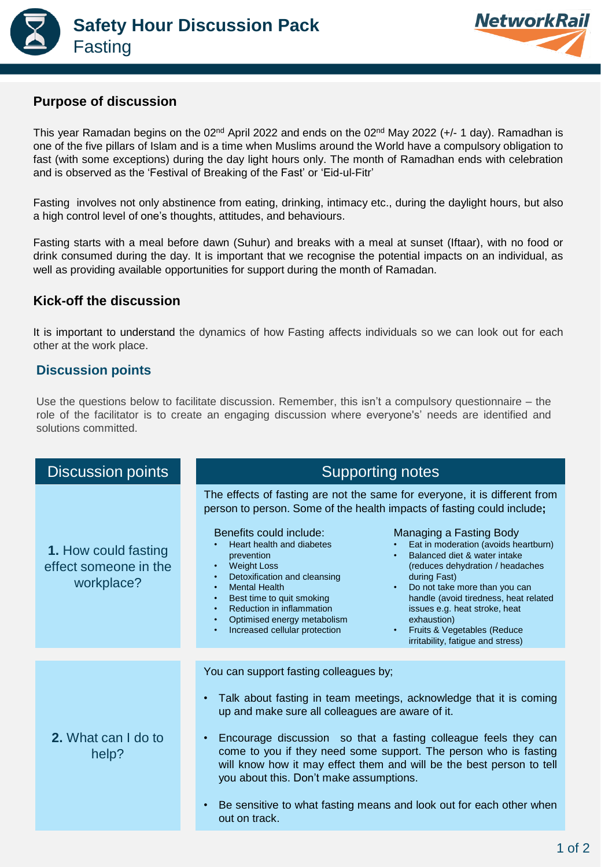



## **Purpose of discussion**

This year Ramadan begins on the 02<sup>nd</sup> April 2022 and ends on the 02<sup>nd</sup> May 2022 (+/- 1 day). Ramadhan is one of the five pillars of Islam and is a time when Muslims around the World have a compulsory obligation to fast (with some exceptions) during the day light hours only. The month of Ramadhan ends with celebration and is observed as the 'Festival of Breaking of the Fast' or 'Eid-ul-Fitr'

Fasting involves not only abstinence from eating, drinking, intimacy etc., during the daylight hours, but also a high control level of one's thoughts, attitudes, and behaviours.

Fasting starts with a meal before dawn (Suhur) and breaks with a meal at sunset (Iftaar), with no food or drink consumed during the day. It is important that we recognise the potential impacts on an individual, as well as providing available opportunities for support during the month of Ramadan.

## **Kick-off the discussion**

It is important to understand the dynamics of how Fasting affects individuals so we can look out for each other at the work place.

## **Discussion points**

Use the questions below to facilitate discussion. Remember, this isn't a compulsory questionnaire – the role of the facilitator is to create an engaging discussion where everyone's' needs are identified and solutions committed.

| <b>Discussion points</b>                                           | <b>Supporting notes</b>                                                                                                                                                                                                                                                                                                                                                                                                                                                                                                                                                                                                                                                                                                                                                                            |  |
|--------------------------------------------------------------------|----------------------------------------------------------------------------------------------------------------------------------------------------------------------------------------------------------------------------------------------------------------------------------------------------------------------------------------------------------------------------------------------------------------------------------------------------------------------------------------------------------------------------------------------------------------------------------------------------------------------------------------------------------------------------------------------------------------------------------------------------------------------------------------------------|--|
| <b>1. How could fasting</b><br>effect someone in the<br>workplace? | The effects of fasting are not the same for everyone, it is different from<br>person to person. Some of the health impacts of fasting could include;<br>Benefits could include:<br>Managing a Fasting Body<br>Heart health and diabetes<br>Eat in moderation (avoids heartburn)<br>Balanced diet & water intake<br>prevention<br>• Weight Loss<br>(reduces dehydration / headaches<br>Detoxification and cleansing<br>during Fast)<br>• Mental Health<br>Do not take more than you can<br>handle (avoid tiredness, heat related<br>• Best time to quit smoking<br>Reduction in inflammation<br>issues e.g. heat stroke, heat<br>$\bullet$<br>• Optimised energy metabolism<br>exhaustion)<br>• Fruits & Vegetables (Reduce<br>• Increased cellular protection<br>irritability, fatigue and stress) |  |
|                                                                    |                                                                                                                                                                                                                                                                                                                                                                                                                                                                                                                                                                                                                                                                                                                                                                                                    |  |
| 2. What can I do to<br>help?                                       | You can support fasting colleagues by;<br>Talk about fasting in team meetings, acknowledge that it is coming<br>up and make sure all colleagues are aware of it.<br>Encourage discussion so that a fasting colleague feels they can<br>come to you if they need some support. The person who is fasting<br>will know how it may effect them and will be the best person to tell<br>you about this. Don't make assumptions.<br>Be sensitive to what fasting means and look out for each other when<br>out on track.                                                                                                                                                                                                                                                                                 |  |